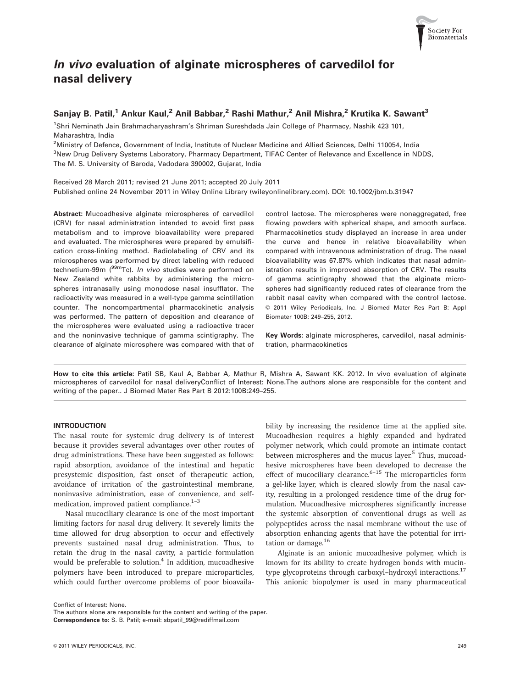

# In vivo evaluation of alginate microspheres of carvedilol for nasal delivery

# Sanjay B. Patil,<sup>1</sup> Ankur Kaul,<sup>2</sup> Anil Babbar,<sup>2</sup> Rashi Mathur,<sup>2</sup> Anil Mishra,<sup>2</sup> Krutika K. Sawant<sup>3</sup>

1 Shri Neminath Jain Brahmacharyashram's Shriman Sureshdada Jain College of Pharmacy, Nashik 423 101, Maharashtra, India

<sup>2</sup>Ministry of Defence, Government of India, Institute of Nuclear Medicine and Allied Sciences, Delhi 110054, India <sup>3</sup>New Drug Delivery Systems Laboratory, Pharmacy Department, TIFAC Center of Relevance and Excellence in NDDS, The M. S. University of Baroda, Vadodara 390002, Gujarat, India

Received 28 March 2011; revised 21 June 2011; accepted 20 July 2011 Published online 24 November 2011 in Wiley Online Library (wileyonlinelibrary.com). DOI: 10.1002/jbm.b.31947

Abstract: Mucoadhesive alginate microspheres of carvedilol (CRV) for nasal administration intended to avoid first pass metabolism and to improve bioavailability were prepared and evaluated. The microspheres were prepared by emulsification cross-linking method. Radiolabeling of CRV and its microspheres was performed by direct labeling with reduced technetium-99m (<sup>99m</sup>Tc). In vivo studies were performed on New Zealand white rabbits by administering the microspheres intranasally using monodose nasal insufflator. The radioactivity was measured in a well-type gamma scintillation counter. The noncompartmental pharmacokinetic analysis was performed. The pattern of deposition and clearance of the microspheres were evaluated using a radioactive tracer and the noninvasive technique of gamma scintigraphy. The clearance of alginate microsphere was compared with that of control lactose. The microspheres were nonaggregated, free flowing powders with spherical shape, and smooth surface. Pharmacokinetics study displayed an increase in area under the curve and hence in relative bioavailability when compared with intravenous administration of drug. The nasal bioavailability was 67.87% which indicates that nasal administration results in improved absorption of CRV. The results of gamma scintigraphy showed that the alginate microspheres had significantly reduced rates of clearance from the rabbit nasal cavity when compared with the control lactose.  $© 2011 Wiley Periodicals, Inc. J Biomed Mater Res Part B: Appl$ Biomater 100B: 249–255, 2012.

Key Words: alginate microspheres, carvedilol, nasal administration, pharmacokinetics

How to cite this article: Patil SB, Kaul A, Babbar A, Mathur R, Mishra A, Sawant KK. 2012. In vivo evaluation of alginate microspheres of carvedilol for nasal deliveryConflict of Interest: None.The authors alone are responsible for the content and writing of the paper.. J Biomed Mater Res Part B 2012:100B:249–255.

# INTRODUCTION

The nasal route for systemic drug delivery is of interest because it provides several advantages over other routes of drug administrations. These have been suggested as follows: rapid absorption, avoidance of the intestinal and hepatic presystemic disposition, fast onset of therapeutic action, avoidance of irritation of the gastrointestinal membrane, noninvasive administration, ease of convenience, and selfmedication, improved patient compliance.<sup>1-3</sup>

Nasal mucociliary clearance is one of the most important limiting factors for nasal drug delivery. It severely limits the time allowed for drug absorption to occur and effectively prevents sustained nasal drug administration. Thus, to retain the drug in the nasal cavity, a particle formulation would be preferable to solution. $4$  In addition, mucoadhesive polymers have been introduced to prepare microparticles, which could further overcome problems of poor bioavailability by increasing the residence time at the applied site. Mucoadhesion requires a highly expanded and hydrated polymer network, which could promote an intimate contact between microspheres and the mucus layer.<sup>5</sup> Thus, mucoadhesive microspheres have been developed to decrease the effect of mucociliary clearance. $6-15$  The microparticles form a gel-like layer, which is cleared slowly from the nasal cavity, resulting in a prolonged residence time of the drug formulation. Mucoadhesive microspheres significantly increase the systemic absorption of conventional drugs as well as polypeptides across the nasal membrane without the use of absorption enhancing agents that have the potential for irritation or damage.<sup>16</sup>

Alginate is an anionic mucoadhesive polymer, which is known for its ability to create hydrogen bonds with mucintype glycoproteins through carboxyl-hydroxyl interactions.<sup>17</sup> This anionic biopolymer is used in many pharmaceutical

Conflict of Interest: None.

The authors alone are responsible for the content and writing of the paper. Correspondence to: S. B. Patil; e-mail: sbpatil\_99@rediffmail.com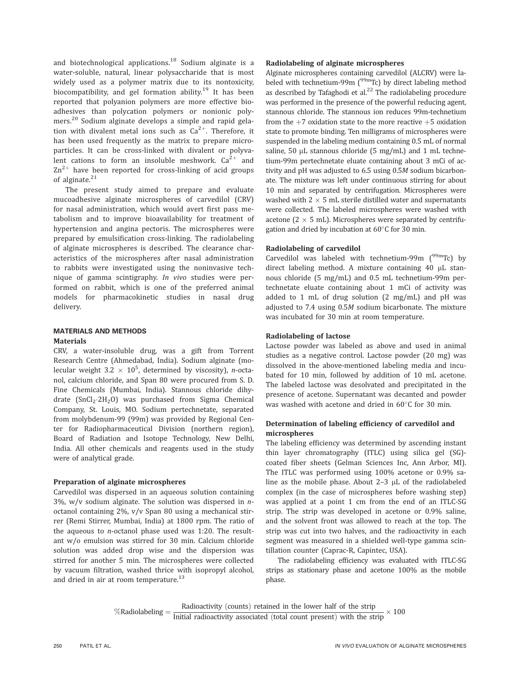and biotechnological applications.<sup>18</sup> Sodium alginate is a water-soluble, natural, linear polysaccharide that is most widely used as a polymer matrix due to its nontoxicity, biocompatibility, and gel formation ability.<sup>19</sup> It has been reported that polyanion polymers are more effective bioadhesives than polycation polymers or nonionic polymers.<sup>20</sup> Sodium alginate develops a simple and rapid gelation with divalent metal ions such as  $Ca^{2+}$ . Therefore, it has been used frequently as the matrix to prepare microparticles. It can be cross-linked with divalent or polyvalent cations to form an insoluble meshwork.  $Ca^{2+}$  and  $\text{Zn}^{2+}$  have been reported for cross-linking of acid groups of alginate.<sup>21</sup>

The present study aimed to prepare and evaluate mucoadhesive alginate microspheres of carvedilol (CRV) for nasal administration, which would avert first pass metabolism and to improve bioavailability for treatment of hypertension and angina pectoris. The microspheres were prepared by emulsification cross-linking. The radiolabeling of alginate microspheres is described. The clearance characteristics of the microspheres after nasal administration to rabbits were investigated using the noninvasive technique of gamma scintigraphy. In vivo studies were performed on rabbit, which is one of the preferred animal models for pharmacokinetic studies in nasal drug delivery.

# MATERIALS AND METHODS Materials

CRV, a water-insoluble drug, was a gift from Torrent Research Centre (Ahmedabad, India). Sodium alginate (molecular weight  $3.2 \times 10^5$ , determined by viscosity), *n*-octanol, calcium chloride, and Span 80 were procured from S. D. Fine Chemicals (Mumbai, India). Stannous chloride dihydrate  $(SnCl_2·2H_2O)$  was purchased from Sigma Chemical Company, St. Louis, MO. Sodium pertechnetate, separated from molybdenum-99 (99m) was provided by Regional Center for Radiopharmaceutical Division (northern region), Board of Radiation and Isotope Technology, New Delhi, India. All other chemicals and reagents used in the study were of analytical grade.

# Preparation of alginate microspheres

Carvedilol was dispersed in an aqueous solution containing  $3\%$ , w/v sodium alginate. The solution was dispersed in *n*octanol containing 2%, v/v Span 80 using a mechanical stirrer (Remi Stirrer, Mumbai, India) at 1800 rpm. The ratio of the aqueous to  $n$ -octanol phase used was 1:20. The resultant w/o emulsion was stirred for 30 min. Calcium chloride solution was added drop wise and the dispersion was stirred for another 5 min. The microspheres were collected by vacuum filtration, washed thrice with isopropyl alcohol, and dried in air at room temperature.<sup>13</sup>

# Radiolabeling of alginate microspheres

Alginate microspheres containing carvedilol (ALCRV) were labeled with technetium-99m  $\int_{0}^{\frac{1}{2}}$  or  $\int_{0}^{\frac{1}{2}}$  by direct labeling method as described by Tafaghodi et al. $^{22}$  The radiolabeling procedure was performed in the presence of the powerful reducing agent, stannous chloride. The stannous ion reduces 99m-technetium from the  $+7$  oxidation state to the more reactive  $+5$  oxidation state to promote binding. Ten milligrams of microspheres were suspended in the labeling medium containing 0.5 mL of normal saline,  $50 \mu L$  stannous chloride ( $5 \ mg/ml$ ) and  $1 \ mL$  technetium-99m pertechnetate eluate containing about 3 mCi of activity and pH was adjusted to 6.5 using 0.5M sodium bicarbonate. The mixture was left under continuous stirring for about 10 min and separated by centrifugation. Microspheres were washed with  $2 \times 5$  mL sterile distilled water and supernatants were collected. The labeled microspheres were washed with acetone ( $2 \times 5$  mL). Microspheres were separated by centrifugation and dried by incubation at  $60^{\circ}$ C for 30 min.

# Radiolabeling of carvedilol

Carvedilol was labeled with technetium-99m  $(^{99}$ mTc) by direct labeling method. A mixture containing  $40 \mu$ L stannous chloride (5 mg/mL) and 0.5 mL technetium-99m pertechnetate eluate containing about 1 mCi of activity was added to 1 mL of drug solution (2 mg/mL) and pH was adjusted to 7.4 using 0.5M sodium bicarbonate. The mixture was incubated for 30 min at room temperature.

# Radiolabeling of lactose

Lactose powder was labeled as above and used in animal studies as a negative control. Lactose powder (20 mg) was dissolved in the above-mentioned labeling media and incubated for 10 min, followed by addition of 10 mL acetone. The labeled lactose was desolvated and precipitated in the presence of acetone. Supernatant was decanted and powder was washed with acetone and dried in  $60^{\circ}$ C for 30 min.

# Determination of labeling efficiency of carvedilol and microspheres

The labeling efficiency was determined by ascending instant thin layer chromatography (ITLC) using silica gel (SG) coated fiber sheets (Gelman Sciences Inc, Ann Arbor, MI). The ITLC was performed using 100% acetone or 0.9% saline as the mobile phase. About  $2-3$   $\mu$ L of the radiolabeled complex (in the case of microspheres before washing step) was applied at a point 1 cm from the end of an ITLC-SG strip. The strip was developed in acetone or 0.9% saline, and the solvent front was allowed to reach at the top. The strip was cut into two halves, and the radioactivity in each segment was measured in a shielded well-type gamma scintillation counter (Caprac-R, Capintec, USA).

The radiolabeling efficiency was evaluated with ITLC-SG strips as stationary phase and acetone 100% as the mobile phase.

%Radiolabeling =  $\frac{\text{Radioactivity (counts)} \text{retained in the lower half of the strip}}{\text{Initial radioactivity associated (total count present) with the strip}} \times 100$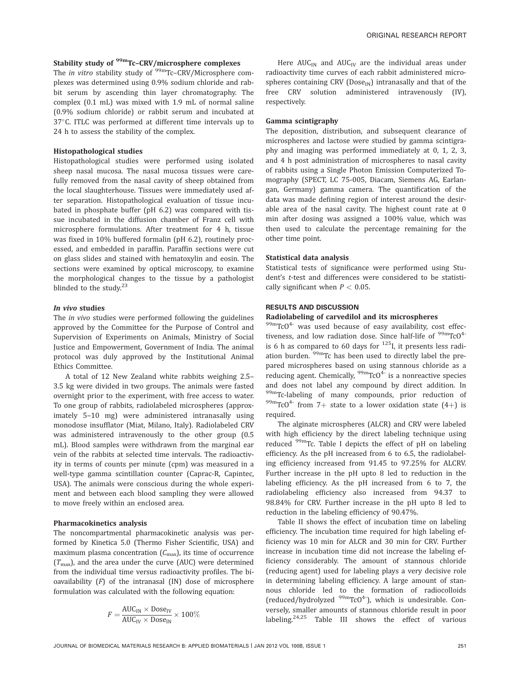# Stability study of <sup>99m</sup>Tc-CRV/microsphere complexes

The *in vitro* stability study of <sup>99m</sup>Tc-CRV/Microsphere complexes was determined using 0.9% sodium chloride and rabbit serum by ascending thin layer chromatography. The complex (0.1 mL) was mixed with 1.9 mL of normal saline (0.9% sodium chloride) or rabbit serum and incubated at  $37^{\circ}$ C. ITLC was performed at different time intervals up to 24 h to assess the stability of the complex.

#### Histopathological studies

Histopathological studies were performed using isolated sheep nasal mucosa. The nasal mucosa tissues were carefully removed from the nasal cavity of sheep obtained from the local slaughterhouse. Tissues were immediately used after separation. Histopathological evaluation of tissue incubated in phosphate buffer (pH 6.2) was compared with tissue incubated in the diffusion chamber of Franz cell with microsphere formulations. After treatment for 4 h, tissue was fixed in 10% buffered formalin (pH 6.2), routinely processed, and embedded in paraffin. Paraffin sections were cut on glass slides and stained with hematoxylin and eosin. The sections were examined by optical microscopy, to examine the morphological changes to the tissue by a pathologist blinded to the study.<sup>23</sup>

# In vivo studies

The in vivo studies were performed following the guidelines approved by the Committee for the Purpose of Control and Supervision of Experiments on Animals, Ministry of Social Justice and Empowerment, Government of India. The animal protocol was duly approved by the Institutional Animal Ethics Committee.

A total of 12 New Zealand white rabbits weighing 2.5– 3.5 kg were divided in two groups. The animals were fasted overnight prior to the experiment, with free access to water. To one group of rabbits, radiolabeled microspheres (approximately 5–10 mg) were administered intranasally using monodose insufflator (Miat, Milano, Italy). Radiolabeled CRV was administered intravenously to the other group (0.5 mL). Blood samples were withdrawn from the marginal ear vein of the rabbits at selected time intervals. The radioactivity in terms of counts per minute (cpm) was measured in a well-type gamma scintillation counter (Caprac-R, Capintec, USA). The animals were conscious during the whole experiment and between each blood sampling they were allowed to move freely within an enclosed area.

#### Pharmacokinetics analysis

The noncompartmental pharmacokinetic analysis was performed by Kinetica 5.0 (Thermo Fisher Scientific, USA) and maximum plasma concentration  $(C_{\text{max}})$ , its time of occurrence  $(T<sub>max</sub>)$ , and the area under the curve (AUC) were determined from the individual time versus radioactivity profiles. The bioavailability  $(F)$  of the intranasal  $(IN)$  dose of microsphere formulation was calculated with the following equation:

$$
F = \frac{\text{AUC}_{\text{IN}} \times \text{Dose}_{\text{IV}}}{\text{AUC}_{\text{IV}} \times \text{Dose}_{\text{IN}}} \times 100\%
$$

Here  $AUC_{IN}$  and  $AUC_{IV}$  are the individual areas under radioactivity time curves of each rabbit administered microspheres containing CRV ( $Dose_{IN}$ ) intranasally and that of the free CRV solution administered intravenously (IV), respectively.

#### Gamma scintigraphy

The deposition, distribution, and subsequent clearance of microspheres and lactose were studied by gamma scintigraphy and imaging was performed immediately at 0, 1, 2, 3, and 4 h post administration of microspheres to nasal cavity of rabbits using a Single Photon Emission Computerized Tomography (SPECT, LC 75-005, Diacam, Siemens AG, Earlangan, Germany) gamma camera. The quantification of the data was made defining region of interest around the desirable area of the nasal cavity. The highest count rate at 0 min after dosing was assigned a 100% value, which was then used to calculate the percentage remaining for the other time point.

#### Statistical data analysis

Statistical tests of significance were performed using Student's t-test and differences were considered to be statistically significant when  $P < 0.05$ .

#### RESULTS AND DISCUSSION

# Radiolabeling of carvedilol and its microspheres

99mTcO<sup>4-</sup> was used because of easy availability, cost effectiveness, and low radiation dose. Since half-life of  $\frac{99 \text{m}}{\text{C}}\text{CO}^{4-}$ is 6 h as compared to 60 days for  $^{125}$ I, it presents less radiation burden. 99mTc has been used to directly label the prepared microspheres based on using stannous chloride as a reducing agent. Chemically,  $99 \text{m}$ TcO<sup>4-</sup> is a nonreactive species and does not label any compound by direct addition. In 99mTc-labeling of many compounds, prior reduction of <sup>99m</sup>TcO<sup>4-</sup> from 7+ state to a lower oxidation state (4+) is required.

The alginate microspheres (ALCR) and CRV were labeled with high efficiency by the direct labeling technique using reduced <sup>99m</sup>Tc. Table I depicts the effect of pH on labeling efficiency. As the pH increased from 6 to 6.5, the radiolabeling efficiency increased from 91.45 to 97.25% for ALCRV. Further increase in the pH upto 8 led to reduction in the labeling efficiency. As the pH increased from 6 to 7, the radiolabeling efficiency also increased from 94.37 to 98.84% for CRV. Further increase in the pH upto 8 led to reduction in the labeling efficiency of 90.47%.

Table II shows the effect of incubation time on labeling efficiency. The incubation time required for high labeling efficiency was 10 min for ALCR and 30 min for CRV. Further increase in incubation time did not increase the labeling efficiency considerably. The amount of stannous chloride (reducing agent) used for labeling plays a very decisive role in determining labeling efficiency. A large amount of stannous chloride led to the formation of radiocolloids (reduced/hydrolyzed  $99m$ TcO<sup>4-</sup>), which is undesirable. Conversely, smaller amounts of stannous chloride result in poor labeling.<sup>24,25</sup> Table III shows the effect of various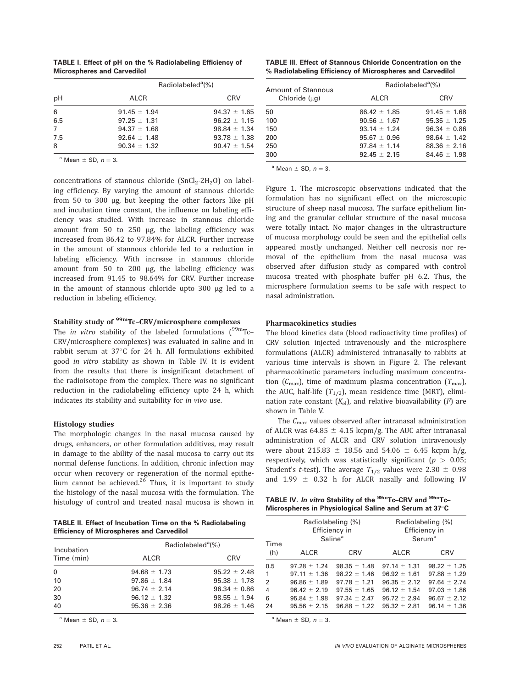|                                    |  |  | <b>TABLE I. Effect of pH on the % Radiolabeling Efficiency of</b> |  |
|------------------------------------|--|--|-------------------------------------------------------------------|--|
| <b>Microspheres and Carvedilol</b> |  |  |                                                                   |  |

|                |                  | Radiolabeled <sup>a</sup> (%) |
|----------------|------------------|-------------------------------|
| рH             | <b>ALCR</b>      | <b>CRV</b>                    |
| 6              | $91.45 \pm 1.94$ | $94.37 \pm 1.65$              |
| 6.5            | $97.25 \pm 1.31$ | $96.22 \pm 1.15$              |
| $\overline{7}$ | $94.37 \pm 1.68$ | $98.84 \pm 1.34$              |
| 7.5            | $92.64 \pm 1.48$ | $93.78 \pm 1.38$              |
| 8              | $90.34 \pm 1.32$ | $90.47 \pm 1.54$              |

<sup>a</sup> Mean  $\pm$  SD,  $n = 3$ .

concentrations of stannous chloride  $(SnCl_2·2H_2O)$  on labeling efficiency. By varying the amount of stannous chloride from 50 to 300 µg, but keeping the other factors like pH and incubation time constant, the influence on labeling efficiency was studied. With increase in stannous chloride amount from 50 to 250 µg, the labeling efficiency was increased from 86.42 to 97.84% for ALCR. Further increase in the amount of stannous chloride led to a reduction in labeling efficiency. With increase in stannous chloride amount from 50 to 200 µg, the labeling efficiency was increased from 91.45 to 98.64% for CRV. Further increase in the amount of stannous chloride upto  $300 \mu g$  led to a reduction in labeling efficiency.

# Stability study of <sup>99m</sup>Tc-CRV/microsphere complexes

The *in vitro* stability of the labeled formulations  $\int_{0}^{99m}$ Tc-CRV/microsphere complexes) was evaluated in saline and in rabbit serum at  $37^{\circ}$ C for 24 h. All formulations exhibited good in vitro stability as shown in Table IV. It is evident from the results that there is insignificant detachment of the radioisotope from the complex. There was no significant reduction in the radiolabeling efficiency upto 24 h, which indicates its stability and suitability for in vivo use.

# Histology studies

The morphologic changes in the nasal mucosa caused by drugs, enhancers, or other formulation additives, may result in damage to the ability of the nasal mucosa to carry out its normal defense functions. In addition, chronic infection may occur when recovery or regeneration of the normal epithelium cannot be achieved. $26$  Thus, it is important to study the histology of the nasal mucosa with the formulation. The histology of control and treated nasal mucosa is shown in

TABLE II. Effect of Incubation Time on the % Radiolabeling Efficiency of Microspheres and Carvedilol

| Incubation | Radiolabeled <sup>a</sup> (%) |                  |  |
|------------|-------------------------------|------------------|--|
| Time (min) | <b>ALCR</b>                   | <b>CRV</b>       |  |
| 0          | $94.68 \pm 1.73$              | $95.22 \pm 2.48$ |  |
| 10         | $97.86 \pm 1.84$              | $95.38 \pm 1.78$ |  |
| 20         | $96.74 \pm 2.14$              | $96.34 \pm 0.86$ |  |
| 30         | $96.12 \pm 1.32$              | $98.55 \pm 1.94$ |  |
| 40         | $95.36 \pm 2.36$              | $98.26 \pm 1.46$ |  |

 $a$  Mean  $\pm$  SD,  $n = 3$ .

|  |  |                                                           | TABLE III. Effect of Stannous Chloride Concentration on the |
|--|--|-----------------------------------------------------------|-------------------------------------------------------------|
|  |  | % Radiolabeling Efficiency of Microspheres and Carvedilol |                                                             |

| <b>Amount of Stannous</b> | Radiolabeled <sup>a</sup> (%) |                  |  |
|---------------------------|-------------------------------|------------------|--|
| Chloride $(\mu g)$        | ALCR                          | CRV              |  |
| 50                        | $86.42 \pm 1.85$              | $91.45 \pm 1.68$ |  |
| 100                       | $90.56 \pm 1.67$              | $95.35 \pm 1.25$ |  |
| 150                       | $93.14 \pm 1.24$              | $96.34 \pm 0.86$ |  |
| 200                       | $95.67 \pm 0.96$              | $98.64 \pm 1.42$ |  |
| 250                       | $97.84 + 1.14$                | $88.36 \pm 2.16$ |  |
| 300                       | $92.45 \pm 2.15$              | $84.46 \pm 1.98$ |  |

 $a$  Mean  $\pm$  SD,  $n = 3$ .

Figure 1. The microscopic observations indicated that the formulation has no significant effect on the microscopic structure of sheep nasal mucosa. The surface epithelium lining and the granular cellular structure of the nasal mucosa were totally intact. No major changes in the ultrastructure of mucosa morphology could be seen and the epithelial cells appeared mostly unchanged. Neither cell necrosis nor removal of the epithelium from the nasal mucosa was observed after diffusion study as compared with control mucosa treated with phosphate buffer pH 6.2. Thus, the microsphere formulation seems to be safe with respect to nasal administration.

#### Pharmacokinetics studies

The blood kinetics data (blood radioactivity time profiles) of CRV solution injected intravenously and the microsphere formulations (ALCR) administered intranasally to rabbits at various time intervals is shown in Figure 2. The relevant pharmacokinetic parameters including maximum concentration  $(C_{\text{max}})$ , time of maximum plasma concentration  $(T_{\text{max}})$ , the AUC, half-life  $(T_{1/2})$ , mean residence time (MRT), elimination rate constant  $(K_{el})$ , and relative bioavailability  $(F)$  are shown in Table V.

The  $C_{\text{max}}$  values observed after intranasal administration of ALCR was  $64.85 \pm 4.15$  kcpm/g. The AUC after intranasal administration of ALCR and CRV solution intravenously were about 215.83  $\pm$  18.56 and 54.06  $\pm$  6.45 kcpm h/g, respectively, which was statistically significant ( $p > 0.05$ ; Student's *t*-test). The average  $T_{1/2}$  values were 2.30  $\pm$  0.98 and 1.99  $\pm$  0.32 h for ALCR nasally and following IV

TABLE IV. In vitro Stability of the <sup>99m</sup>Tc-CRV and <sup>99m</sup>Tc-Microspheres in Physiological Saline and Serum at 37°C

| Time                                                  |                                                                                                                      | Radiolabeling (%)<br>Efficiency in<br>Saline <sup>a</sup>                                                            | Radiolabeling (%)<br>Efficiency in<br>Serum <sup>a</sup>                                                           |                                                                                                                    |
|-------------------------------------------------------|----------------------------------------------------------------------------------------------------------------------|----------------------------------------------------------------------------------------------------------------------|--------------------------------------------------------------------------------------------------------------------|--------------------------------------------------------------------------------------------------------------------|
| (h)                                                   | ALCR                                                                                                                 | <b>CRV</b>                                                                                                           | <b>ALCR</b>                                                                                                        | <b>CRV</b>                                                                                                         |
| 0.5<br>$\mathbf{1}$<br>2<br>$\overline{4}$<br>6<br>24 | $97.28 \pm 1.24$<br>$97.11 \pm 1.36$<br>$96.86 \pm 1.89$<br>$96.42 \pm 2.19$<br>$95.84 \pm 1.98$<br>$95.56 \pm 2.15$ | $98.35 \pm 1.48$<br>$98.22 \pm 1.46$<br>$97.78 \pm 1.21$<br>$97.55 \pm 1.65$<br>$97.34 \pm 2.47$<br>$96.88 \pm 1.22$ | $97.14 \pm 1.31$<br>$96.92 \pm 1.61$<br>$96.35 \pm 2.12$<br>$96.12 \pm 1.54$<br>$95.72 \pm 2.94$<br>$95.32 + 2.81$ | $98.22 \pm 1.25$<br>$97.88 \pm 1.29$<br>$97.64 \pm 2.74$<br>$97.03 \pm 1.86$<br>$96.67 \pm 2.12$<br>$96.14 + 1.36$ |

 $a$  Mean  $\pm$  SD,  $n = 3$ .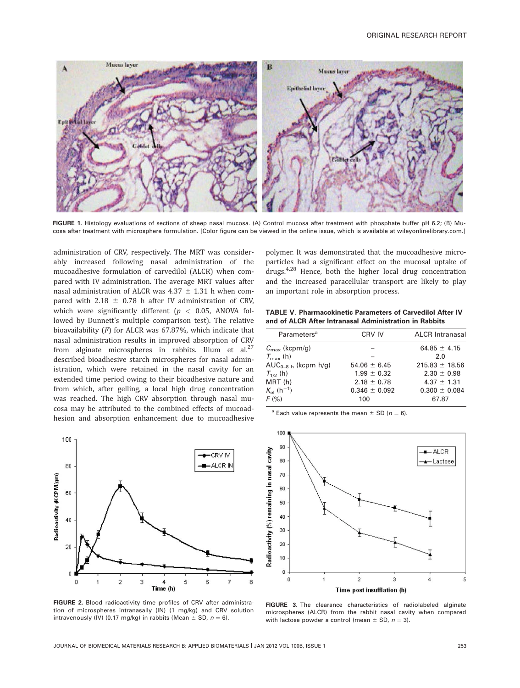

FIGURE 1. Histology evaluations of sections of sheep nasal mucosa. (A) Control mucosa after treatment with phosphate buffer pH 6.2; (B) Mucosa after treatment with microsphere formulation. [Color figure can be viewed in the online issue, which is available at wileyonlinelibrary.com.]

administration of CRV, respectively. The MRT was considerably increased following nasal administration of the mucoadhesive formulation of carvedilol (ALCR) when compared with IV administration. The average MRT values after nasal administration of ALCR was  $4.37 \pm 1.31$  h when compared with 2.18  $\pm$  0.78 h after IV administration of CRV, which were significantly different ( $p < 0.05$ , ANOVA followed by Dunnett's multiple comparison test). The relative bioavailability (F) for ALCR was 67.87%, which indicate that nasal administration results in improved absorption of CRV from alginate microspheres in rabbits. Illum et al.<sup>27</sup> described bioadhesive starch microspheres for nasal administration, which were retained in the nasal cavity for an extended time period owing to their bioadhesive nature and from which, after gelling, a local high drug concentration was reached. The high CRV absorption through nasal mucosa may be attributed to the combined effects of mucoadhesion and absorption enhancement due to mucoadhesive



polymer. It was demonstrated that the mucoadhesive microparticles had a significant effect on the mucosal uptake of drugs.<sup>4,28</sup> Hence, both the higher local drug concentration and the increased paracellular transport are likely to play an important role in absorption process.

TABLE V. Pharmacokinetic Parameters of Carvedilol After IV and of ALCR After Intranasal Administration in Rabbits

| Parameters <sup>a</sup>         | CRV IV            | <b>ALCR Intranasal</b> |
|---------------------------------|-------------------|------------------------|
| $C_{\text{max}}$ (kcpm/g)       |                   | 64.85 $\pm$ 4.15       |
| $T_{\rm max}$ (h)               |                   | 2.0                    |
| $AUC_{n-R-h}$ (kcpm $h/g$ )     | $54.06 \pm 6.45$  | $215.83 \pm 18.56$     |
| $T_{1/2}$ (h)                   | $1.99 \pm 0.32$   | $2.30 \pm 0.98$        |
| MRT(h)                          | $2.18 \pm 0.78$   | $4.37 \pm 1.31$        |
| $K_{\rm el}$ (h <sup>-1</sup> ) | $0.346 \pm 0.092$ | $0.300 \pm 0.084$      |
| F (%)                           | 100               | 67.87                  |
|                                 |                   |                        |

<sup>a</sup> Each value represents the mean  $\pm$  SD (n = 6).



FIGURE 2. Blood radioactivity time profiles of CRV after administration of microspheres intranasally (IN) (1 mg/kg) and CRV solution intravenously (IV) (0.17 mg/kg) in rabbits (Mean  $\pm$  SD,  $n = 6$ ).

FIGURE 3. The clearance characteristics of radiolabeled alginate microspheres (ALCR) from the rabbit nasal cavity when compared with lactose powder a control (mean  $\pm$  SD,  $n = 3$ ).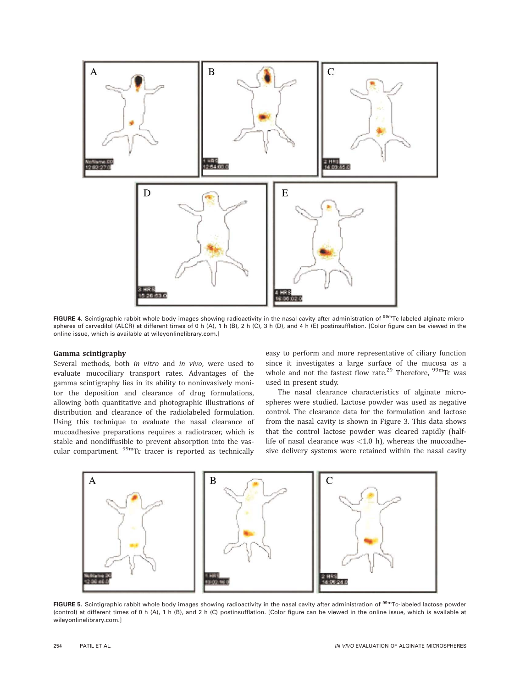

FIGURE 4. Scintigraphic rabbit whole body images showing radioactivity in the nasal cavity after administration of <sup>99m</sup>Tc-labeled alginate microspheres of carvedilol (ALCR) at different times of 0 h (A), 1 h (B), 2 h (C), 3 h (D), and 4 h (E) postinsufflation. [Color figure can be viewed in the online issue, which is available at wileyonlinelibrary.com.]

# Gamma scintigraphy

Several methods, both in vitro and in vivo, were used to evaluate mucociliary transport rates. Advantages of the gamma scintigraphy lies in its ability to noninvasively monitor the deposition and clearance of drug formulations, allowing both quantitative and photographic illustrations of distribution and clearance of the radiolabeled formulation. Using this technique to evaluate the nasal clearance of mucoadhesive preparations requires a radiotracer, which is stable and nondiffusible to prevent absorption into the vascular compartment. <sup>99m</sup>Tc tracer is reported as technically easy to perform and more representative of ciliary function since it investigates a large surface of the mucosa as a whole and not the fastest flow rate.<sup>29</sup> Therefore,  $\frac{99 \text{m}}{2}$ Tc was used in present study.

The nasal clearance characteristics of alginate microspheres were studied. Lactose powder was used as negative control. The clearance data for the formulation and lactose from the nasal cavity is shown in Figure 3. This data shows that the control lactose powder was cleared rapidly (halflife of nasal clearance was  $<$  1.0 h), whereas the mucoadhesive delivery systems were retained within the nasal cavity



FIGURE 5. Scintigraphic rabbit whole body images showing radioactivity in the nasal cavity after administration of <sup>99m</sup>Tc-labeled lactose powder (control) at different times of 0 h (A), 1 h (B), and 2 h (C) postinsufflation. [Color figure can be viewed in the online issue, which is available at wileyonlinelibrary.com.]